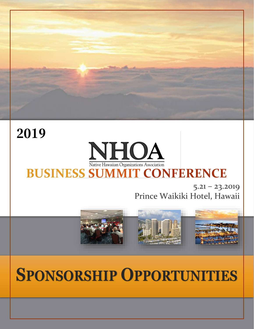

# **2019**

# **NHOA** Native Hawaiian Organizations Association **BUSINESS SUMMIT CONFERENCE**

 $5.21 - 23.2019$ Prince Waikiki Hotel, Hawaii



# **SPONSORSHIP OPPORTUNITIES**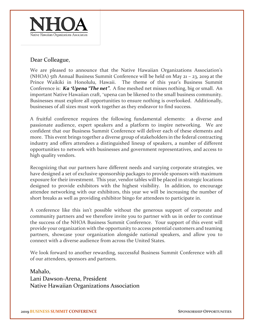

#### Dear Colleague,

We are pleased to announce that the Native Hawaiian Organizations Association's (NHOA) 5th Annual Business Summit Conference will be held on May 21 – 23, 2019 at the Prince Waikiki in Honolulu, Hawaii. The theme of this year's Business Summit Conference is: *Ka ʻUpena "The net"*. A fine meshed net misses nothing, big or small. An important Native Hawaiian craft, ʻupena can be likened to the small business community. Businesses must explore all opportunities to ensure nothing is overlooked. Additionally, businesses of all sizes must work together as they endeavor to find success.

A fruitful conference requires the following fundamental elements: a diverse and passionate audience, expert speakers and a platform to inspire networking. We are confident that our Business Summit Conference will deliver each of these elements and more. This event brings together a diverse group of stakeholders in the federal contracting industry and offers attendees a distinguished lineup of speakers, a number of different opportunities to network with businesses and government representatives, and access to high quality vendors.

Recognizing that our partners have different needs and varying corporate strategies, we have designed a set of exclusive sponsorship packages to provide sponsors with maximum exposure for their investment. This year, vendor tables will be placed in strategic locations designed to provide exhibitors with the highest visibility. In addition, to encourage attendee networking with our exhibitors, this year we will be increasing the number of short breaks as well as providing exhibitor bingo for attendees to participate in.

A conference like this isn't possible without the generous support of corporate and community partners and we therefore invite you to partner with us in order to continue the success of the NHOA Business Summit Conference. Your support of this event will provide your organization with the opportunity to access potential customers and teaming partners, showcase your organization alongside national speakers, and allow you to connect with a diverse audience from across the United States.

We look forward to another rewarding, successful Business Summit Conference with all of our attendees, sponsors and partners.

Mahalo, Lani Dawson-Arena, President Native Hawaiian Organizations Association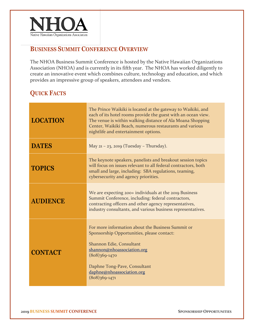

#### **BUSINESS SUMMIT CONFERENCE OVERVIEW**

The NHOA Business Summit Conference is hosted by the Native Hawaiian Organizations Association (NHOA) and is currently in its fifth year. The NHOA has worked diligently to create an innovative event which combines culture, technology and education, and which provides an impressive group of speakers, attendees and vendors.

## **QUICK FACTS**

| <b>LOCATION</b> | The Prince Waikiki is located at the gateway to Waikiki, and<br>each of its hotel rooms provide the guest with an ocean view.<br>The venue is within walking distance of Ala Moana Shopping<br>Center, Waikiki Beach, numerous restaurants and various<br>nightlife and entertainment options. |  |  |  |  |
|-----------------|------------------------------------------------------------------------------------------------------------------------------------------------------------------------------------------------------------------------------------------------------------------------------------------------|--|--|--|--|
| <b>DATES</b>    | May $21 - 23$ , 2019 (Tuesday - Thursday).                                                                                                                                                                                                                                                     |  |  |  |  |
| <b>TOPICS</b>   | The keynote speakers, panelists and breakout session topics<br>will focus on issues relevant to all federal contractors, both<br>small and large, including: SBA regulations, teaming,<br>cybersecurity and agency priorities.                                                                 |  |  |  |  |
| <b>AUDIENCE</b> | We are expecting 200+ individuals at the 2019 Business<br>Summit Conference, including: federal contractors,<br>contracting officers and other agency representatives,<br>industry consultants, and various business representatives.                                                          |  |  |  |  |
| <b>CONTACT</b>  | For more information about the Business Summit or<br>Sponsorship Opportunities, please contact:<br>Shannon Edie, Consultant<br>shannon@nhoassociation.org<br>$(808)369-1470$<br>Daphne Tong-Pave, Consultant<br>daphne@nhoassociation.org<br>$(808)369-1471$                                   |  |  |  |  |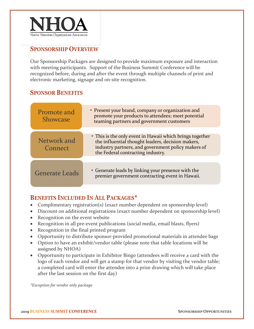

## **SPONSORSHIP OVERVIEW**

Our Sponsorship Packages are designed to provide maximum exposure and interaction with meeting participants. Support of the Business Summit Conference will be recognized before, during and after the event through multiple channels of print and electronic marketing, signage and on-site recognition.

## **SPONSOR BENEFITS**

| Promote and<br><b>Showcase</b> | • Present your brand, company or organization and<br>promote your products to attendees; meet potential<br>teaming partners and government customers                                                     |
|--------------------------------|----------------------------------------------------------------------------------------------------------------------------------------------------------------------------------------------------------|
|                                |                                                                                                                                                                                                          |
| Network and<br>Connect         | • This is the only event in Hawaii which brings together<br>the influential thought leaders, decision makers,<br>industry partners, and government policy makers of<br>the Federal contracting industry. |
|                                |                                                                                                                                                                                                          |
| <b>Generate Leads</b>          | • Generate leads by linking your presence with the<br>premier government contracting event in Hawaii.                                                                                                    |

#### **BENEFITS INCLUDED IN ALL PACKAGES\***

- Complimentary registration(s) (exact number dependent on sponsorship level)
- Discount on additional registrations (exact number dependent on sponsorship level)
- Recognition on the event website
- Recognition in all pre-event publications (social media, email blasts, flyers)
- Recognition in the final printed program
- Opportunity to distribute sponsor-provided promotional materials in attendee bags
- Option to have an exhibit/vendor table (please note that table locations will be assigned by NHOA)
- Opportunity to participate in Exhibitor Bingo (attendees will receive a card with the logo of each vendor and will get a stamp for that vendor by visiting the vendor table; a completed card will enter the attendee into a prize drawing which will take place after the last session on the first day)

*\*Exception for vendor only package*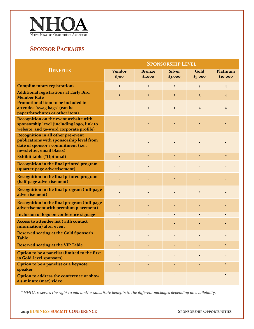

# **SPONSOR PACKAGES**

|                                                                                                                                                           | <b>SPONSORSHIP LEVEL</b> |                          |                          |                 |                      |
|-----------------------------------------------------------------------------------------------------------------------------------------------------------|--------------------------|--------------------------|--------------------------|-----------------|----------------------|
| <b>BENEFITS</b>                                                                                                                                           | <b>Vendor</b><br>\$700   | <b>Bronze</b><br>\$1,000 | <b>Silver</b><br>\$3,000 | Gold<br>\$5,000 | Platinum<br>\$10,000 |
| <b>Complimentary registrations</b>                                                                                                                        | $\mathbf{1}$             | $\bf{1}$                 | $\overline{2}$           | 3               | $\overline{4}$       |
| <b>Additional registrations at Early Bird</b><br><b>Member Rate</b>                                                                                       | $\bf{1}$                 | $\bf{1}$                 | $\overline{2}$           | 3               | 4                    |
| Promotional item to be included in<br>attendee "swag bags" (can be<br>paper/brochures or other item)                                                      |                          | $\bf{1}$                 | $\mathbf{1}$             | $\overline{2}$  | $\overline{2}$       |
| <b>Recognition on the event website with</b><br>sponsorship level (including logo, link to<br>website, and 50-word corporate profile)                     |                          |                          |                          |                 |                      |
| <b>Recognition in all other pre-event</b><br>publications with sponsorship level from<br>date of sponsor's commitment (i.e.,<br>newsletter, email blasts) |                          |                          |                          |                 |                      |
| <b>Exhibit table (*Optional)</b>                                                                                                                          |                          | $\star$                  | $\star$                  | $\star$         | $\star$              |
| Recognition in the final printed program<br>(quarter-page advertisement)                                                                                  |                          |                          |                          |                 |                      |
| Recognition in the final printed program<br>(half-page advertisement)                                                                                     |                          |                          |                          |                 |                      |
| Recognition in the final program (full-page<br>advertisement)                                                                                             |                          |                          |                          |                 |                      |
| Recognition in the final program (full-page<br>advertisement with premium placement)                                                                      |                          |                          |                          |                 |                      |
| Inclusion of logo on conference signage                                                                                                                   |                          |                          |                          |                 |                      |
| Access to attendee list (with contact<br>information) after event                                                                                         |                          |                          |                          |                 |                      |
| <b>Reserved seating at the Gold Sponsor's</b><br><b>Table</b>                                                                                             |                          |                          |                          |                 |                      |
| <b>Reserved seating at the VIP Table</b>                                                                                                                  |                          |                          |                          |                 |                      |
| Option to be a panelist (limited to the first<br>10 Gold-level sponsors)                                                                                  |                          |                          |                          |                 |                      |
| Option to be a panelist or a keynote<br>speaker                                                                                                           |                          |                          |                          |                 |                      |
| Option to address the conference or show<br>a 5-minute (max) video                                                                                        |                          |                          |                          |                 |                      |

*\* NHOA reserves the right to add and/or substitute benefits to the different packages depending on availability.*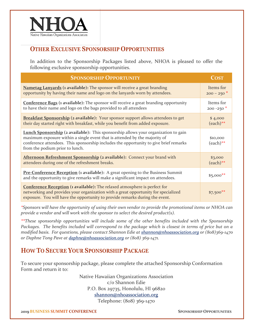

#### **OTHER EXCLUSIVE SPONSORSHIP OPPORTUNITIES**

In addition to the Sponsorship Packages listed above, NHOA is pleased to offer the following exclusive sponsorship opportunities.

| <b>SPONSORSHIP OPPORTUNITY</b>                                                                                                                                                                                                                                                                      | <b>COST</b>             |
|-----------------------------------------------------------------------------------------------------------------------------------------------------------------------------------------------------------------------------------------------------------------------------------------------------|-------------------------|
| Nametag Lanyards (1 available): The sponsor will receive a great branding                                                                                                                                                                                                                           | Items for               |
| opportunity by having their name and logo on the lanyards worn by attendees.                                                                                                                                                                                                                        | $200 - 250$ *           |
| <b>Conference Bags (1 available):</b> The sponsor will receive a great branding opportunity                                                                                                                                                                                                         | Items for               |
| to have their name and logo on the bags provided to all attendees                                                                                                                                                                                                                                   | $200 - 250$ *           |
| <b>Breakfast Sponsorship (2 available):</b> Your sponsor support allows attendees to get                                                                                                                                                                                                            | \$4,000                 |
| their day started right with breakfast, while you benefit from added exposure.                                                                                                                                                                                                                      | $(each)$ **             |
| <b>Lunch Sponsorship</b> (2 available): This sponsorship allows your organization to gain<br>maximum exposure within a single event that is attended by the majority of<br>conference attendees. This sponsorship includes the opportunity to give brief remarks<br>from the podium prior to lunch. | \$10,000<br>$(each)$ ** |
| Afternoon Refreshment Sponsorship (2 available): Connect your brand with                                                                                                                                                                                                                            | \$3,000                 |
| attendees during one of the refreshment breaks.                                                                                                                                                                                                                                                     | $(each)$ **             |
| Pre-Conference Reception (1 available): A great opening to the Business Summit<br>and the opportunity to give remarks will make a significant impact on attendees.                                                                                                                                  | $$5,000$ **             |
| <b>Conference Reception (1 available):</b> The relaxed atmosphere is perfect for<br>networking and provides your organization with a great opportunity for specialized<br>exposure. You will have the opportunity to provide remarks during the event.                                              | $$7,500$ <sup>**</sup>  |

*\*Sponsors will have the opportunity of using their own vendor to provide the promotional items or NHOA can provide a vendor and will work with the sponsor to select the desired product(s).*

*\*\*These sponsorship opportunities will include some of the other benefits included with the Sponsorship Packages. The benefits included will correspond to the package which is closest in terms of price but on a modified basis. For questions, please contact Shannon Edie at [shannon@nhoassociation.org](mailto:shannon@nhoassociation.org) or (808)369-1470 or Daphne Tong Pave at [daphne@nhoassociation.org](mailto:daphne@nhoassociation.org) or (808) 369-1471.*

## **HOW TO SECURE YOUR SPONSORSHIP PACKAGE**

To secure your sponsorship package, please complete the attached Sponsorship Conformation Form and return it to:

> Native Hawaiian Organizations Association c/o Shannon Edie P.O. Box 29735, Honolulu, HI 96820 [shannon@nhoassociation.org](mailto:shannon@nhoassociation.org)

Telephone: (808) 369-1470

**2019 BUSINESS SUMMIT CONFERENCE SPONSORSHIP OPPORTUNITIES**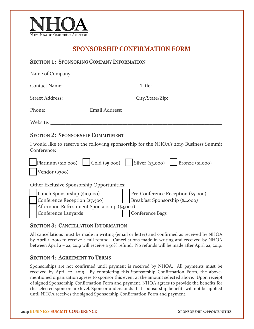

**SECTION 1: SPONSORING COMPANY INFORMATION**

## **SPONSORSHIP CONFIRMATION FORM**

# Name of Company: \_\_\_\_\_\_\_\_\_\_\_\_\_\_\_\_\_\_\_\_\_\_\_\_\_\_\_\_\_\_\_\_\_\_\_\_\_\_\_\_\_\_\_\_\_\_\_\_\_\_\_\_\_\_\_\_\_\_\_\_ Contact Name: \_\_\_\_\_\_\_\_\_\_\_\_\_\_\_\_\_\_\_\_\_\_\_\_\_\_\_\_\_\_ Title: \_\_\_\_\_\_\_\_\_\_\_\_\_\_\_\_\_\_\_\_\_\_\_\_\_\_\_ Street Address: \_\_\_\_\_\_\_\_\_\_\_\_\_\_\_\_\_\_\_\_\_\_\_\_\_\_\_\_\_City/State/Zip: \_\_\_\_\_\_\_\_\_\_\_\_\_\_\_\_\_\_\_\_\_ Phone: \_\_\_\_\_\_\_\_\_\_\_\_\_\_\_\_\_ Email Address: \_\_\_\_\_\_\_\_\_\_\_\_\_\_\_\_\_\_\_\_\_\_\_\_\_\_\_\_\_\_\_\_\_\_\_\_\_\_\_ Website: **SECTION 2: SPONSORSHIP COMMITMENT** I would like to reserve the following sponsorship for the NHOA's 2019 Business Summit Conference:  $Platinum ($10,000)$   $|$  Gold (\$5,000)  $|$  Silver (\$3,000)  $|$  Bronze (\$1,000) Vendor (\$700) Other Exclusive Sponsorship Opportunities: ☐ Lunch Sponsorship (\$10,000) ☐ Pre-Conference Reception (\$5,000) Conference Reception (\$7,500) | Breakfast Sponsorship (\$4,000) ☐ Afternoon Refreshment Sponsorship (\$3,000) Conference Lanyards | Conference Bags

#### **SECTION 3: CANCELLATION INFORMATION**

All cancellations must be made in writing (email or letter) and confirmed as received by NHOA by April 1, 2019 to receive a full refund. Cancellations made in writing and received by NHOA between April 2 – 22, 2019 will receive a 50% refund. No refunds will be made after April 22, 2019.

#### **SECTION 4: AGREEMENT TO TERMS**

Sponsorships are not confirmed until payment is received by NHOA. All payments must be received by April 22, 2019. By completing this Sponsorship Confirmation Form, the abovementioned organization agrees to sponsor this event at the amount selected above. Upon receipt of signed Sponsorship Confirmation Form and payment, NHOA agrees to provide the benefits for the selected sponsorship level. Sponsor understands that sponsorship benefits will not be applied until NHOA receives the signed Sponsorship Confirmation Form and payment.